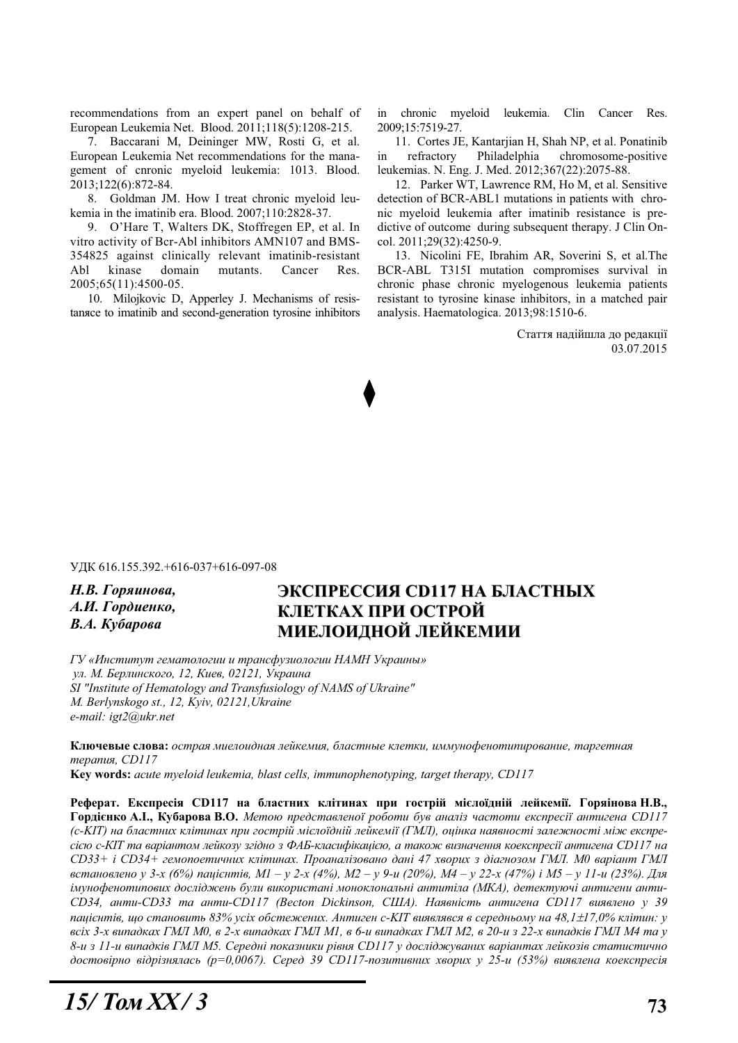recommendations from an expert panel on behalf of European Leukemia Net. Blood. 2011;118(5):1208-215.

7. Baccarani M, Deininger MW, Rosti G, et al. European Leukemia Net recommendations for the management of cnronic myeloid leukemia: 1013. Blood. 2013;122(6):872-84.

8. Goldman JM. How I treat chronic myeloid leukemia in the imatinib era. Blood. 2007;110:2828-37.

9. O'Hare T, Walters DK, Stoffregen EP, et al. In vitro activity of Bcr-Abl inhibitors AMN107 and BMS-354825 against clinically relevant imatinib-resistant Abl kinase domain mutants. Cancer Res. 2005;65(11):4500-05.

10. Milojkovic D, Apperley J. Mechanisms of resistansce to imatinib and second-generation tyrosine inhibitors in chronic myeloid leukemia. Clin Cancer Res. 2009;15:7519-27.

11. Cortes JE, Kantarjian H, Shah NP, et al. Ponatinib in refractory Philadelphia chromosome-positive leukemias. N. Eng. J. Med. 2012;367(22):2075-88.

12. Parker WT, Lawrence RM, Ho M, et al. Sensitive detection of BCR-ABL1 mutations in patients with chronic myeloid leukemia after imatinib resistance is predictive of outcome during subsequent therapy. J Clin Oncol. 2011;29(32):4250-9.

13. Nicolini FE, Ibrahim AR, Soverini S, et al.The BCR-ABL T315I mutation compromises survival in chronic phase chronic myelogenous leukemia patients resistant to tyrosine kinase inhibitors, in a matched pair analysis. Haematologica. 2013;98:1510-6.

> Стаття надійшла до редакції 03.07.2015

ɍȾɄ 616.155.392.+616-037+616-097-08

**Н.В.** Горяинова. *A.И. Гордиенко,* **В.А.** Кубарова

## **ЭКСПРЕССИЯ СD117 НА БЛАСТНЫХ** КЛЕТКАХ ПРИ ОСТРОЙ МИЕЛОИДНОЙ ЛЕЙКЕМИИ

 $\Gamma$ У «Институт гематологии и трансфузиологии НАМН Украины»  $v_{II}$ . *М. Берлинского, 12, Киев, 02121, Украина SI "Institute of Hematology and Transfusiology of NAMS of Ukraine" M. Berlynskogo st., 12, Kyiv, 02121,Ukraine e-mail: igt2@ukr.net* 

Ключевые слова: острая миелоидная лейкемия, бластные клетки, иммунофенотипирование, таргетная *ɬɟɪɚɩɢɹ, CD117* 

**Key words:** *acute myeloid leukemia, blast cells, immunophenotyping, target therapy, CD117* 

Реферат. Експресія СD117 на бластних клітинах при гострій міслоїдній лейкемії. Горяінова Н.В., **Ƚɨɪɞɿɽɧɤɨ Ⱥ.ȱ., Ʉɭɛɚɪɨɜɚ ȼ.Ɉ.** *Ɇɟɬɨɸ ɩɪɟɞɫɬɚɜɥɟɧɨʀ ɪɨɛɨɬɢ ɛɭɜ ɚɧɚɥɿɡ ɱɚɫɬɨɬɢ ɟɤɫɩɪɟɫɿʀ ɚɧɬɢɝɟɧɚ CD117*  (с-KIT) на бластних клітинах при гострій мієлоїдній лейкемії (ГМЛ), оцінка наявності залежності між експре*ɫɿɽɸ ɫ-ɄȱɌ ɬɚ ɜɚɪɿɚɧɬɨɦ ɥɟɣɤɨɡɭ ɡɝɿɞɧɨ ɡ ɎȺȻ-ɤɥɚɫɢɮɿɤɚɰɿɽɸ, ɚ ɬɚɤɨɠ ɜɢɡɧɚɱɟɧɧɹ ɤɨɟɤɫɩɪɟɫɿʀ ɚɧɬɢɝɟɧɚ CD117 ɧɚ CD33+ ɿ CD34+ ɝɟɦɨɩɨɟɬɢɱɧɢɯ ɤɥɿɬɢɧɚɯ. ɉɪɨɚɧɚɥɿɡɨɜɚɧɨ ɞɚɧɿ 47 ɯɜɨɪɢɯ ɡ ɞɿɚɝɧɨɡɨɦ ȽɆɅ. Ɇ0 ɜɚɪɿɚɧɬ ȽɆɅ* встановлено у 3-х (6%) пацієнтів, М1 – у 2-х (4%), М2 – у 9-и (20%), М4 – у 22-х (47%) і М5 – у 11-и (23%). Для  $i$ мунофенотипових досліджень були використані моноклональні антитіла (МКА), детектуючі антигени анти-*CD34, ɚɧɬɢ-CD33 ɬɚ ɚɧɬɢ-CD117 (Becton Dickinson, ɋɒȺ). ɇɚɹɜɧɿɫɬɶ ɚɧɬɢɝɟɧɚ CD117 ɜɢɹɜɥɟɧɨ ɭ 39*  лацієнтів, що становить 83% усіх обстежених. Антиген с-KIT виявлявся в середньому на 48,1±17,0% клітин: у всіх 3-х випадках ГМЛ М0, в 2-х випадках ГМЛ М1, в 6-и випадках ГМЛ М2, в 20-и з 22-х випадків ГМЛ М4 та у *8-ɢ ɡ 11-ɢ ɜɢɩɚɞɤɿɜ ȽɆɅ Ɇ5. ɋɟɪɟɞɧɿ ɩɨɤɚɡɧɢɤɢ ɪɿɜɧɹ CD117 ɭ ɞɨɫɥɿɞɠɭɜɚɧɢɯ ɜɚɪɿɚɧɬɚɯ ɥɟɣɤɨɡɿɜ ɫɬɚɬɢɫɬɢɱɧɨ* достовірно відрізнялась (р=0,0067). Серед 39 CD117-позитивних хворих у 25-и (53%) виявлена коекспресія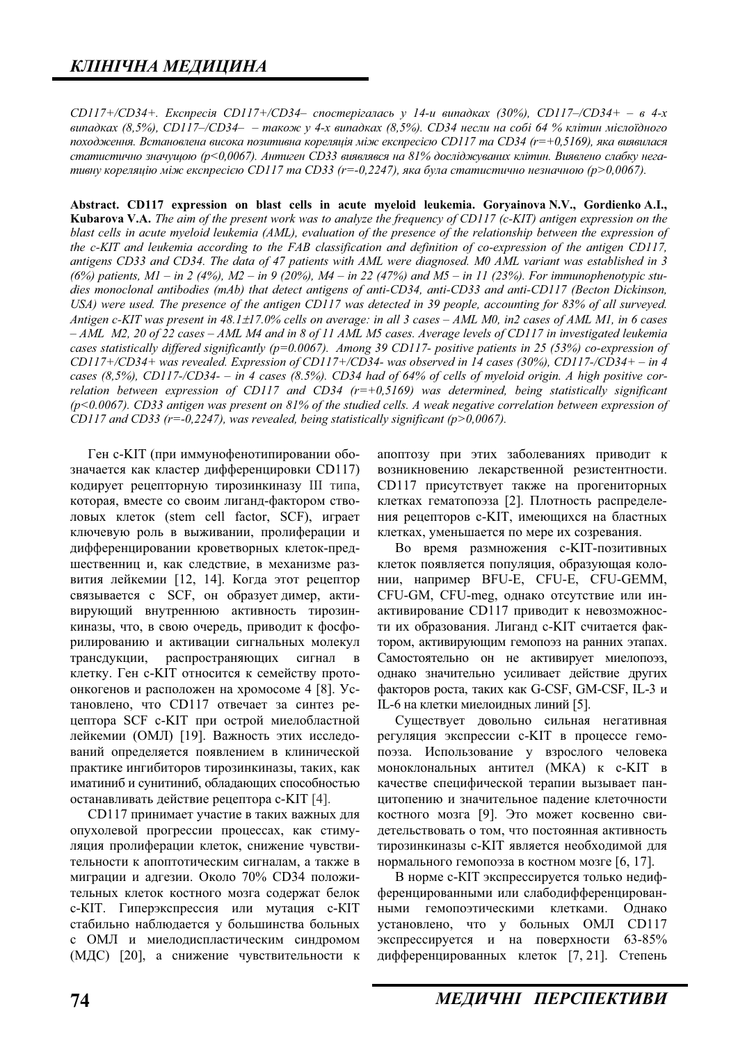*CD117+/CD34+. Eкспресія CD117+/CD34– спостерігалась у 14-и випадках (30%), CD117–/CD34+ – в 4-х*  $\alpha$ *kunaдках* (8,5%), CD117–/CD34– – також у 4-х випадках (8,5%). CD34 несли на собі 64 % клітин міслоїдного *походження. Встановлена висока позитивна кореляція між експресією CD117 та CD34 (r=+0,5169), яка виявилася* статистично значущою (р<0,0067). Антиген CD33 виявлявся на 81% досліджуваних клітин. Виявлено слабку нега $mu$ вну кореляцію між експресією CD117 та CD33 (r=-0,2247), яка була статистично незначною (р>0,0067).

**Abstract. CD117 expression on blast cells in acute myeloid leukemia. Goryainova N.V., Gordienko A.I., Kubarova V.A.** *The aim of the present work was to analyze the frequency of CD117 (c-KIT) antigen expression on the blast cells in acute myeloid leukemia (AML), evaluation of the presence of the relationship between the expression of the c-KIT and leukemia according to the FAB classification and definition of co-expression of the antigen CD117, antigens CD33 and CD34. The data of 47 patients with AML were diagnosed. M0 AML variant was established in 3 (6%) patients, M1 – in 2 (4%), M2 – in 9 (20%), M4 – in 22 (47%) and M5 – in 11 (23%). For immunophenotypic studies monoclonal antibodies (mAb) that detect antigens of anti-CD34, anti-CD33 and anti-CD117 (Becton Dickinson, USA) were used. The presence of the antigen CD117 was detected in 39 people, accounting for 83% of all surveyed. Antigen c-KIT was present in 48.1* $\pm$ *17.0% cells on average: in all 3 cases – AML M0, in2 cases of AML M1, in 6 cases – AML M2, 20 of 22 cases – AML M4 and in 8 of 11 AML M5 cases. Average levels of CD117 in investigated leukemia cases statistically differed significantly (p=0.0067). Among 39 CD117- positive patients in 25 (53%) co-expression of CD117+/CD34+ was revealed. Expression of CD117+/CD34- was observed in 14 cases (30%), CD117-/CD34+ – in 4 cases (8,5%), CD117-/CD34- – in 4 cases (8.5%). CD34 had of 64% of cells of myeloid origin. A high positive correlation between expression of CD117 and CD34 (r=+0,5169) was determined, being statistically significant (p<0.0067). CD33 antigen was present on 81% of the studied cells. A weak negative correlation between expression of CD117 and CD33 (r=-0,2247), was revealed, being statistically significant (p>0,0067).* 

Ген с-КІТ (при иммунофенотипировании обозначается как кластер дифференцировки CD117) кодирует рецепторную тирозинкиназу III типа, которая, вместе со своим лиганд-фактором стволовых клеток (stem cell factor, SCF), играет ключевую роль в выживании, пролиферации и дифференцировании кроветворных клеток-предшественниц и, как следствие, в механизме развития лейкемии [12, 14]. Когда этот рецептор связывается с SCF, он образует димер, активирующий внутреннюю активность тирозинкиназы, что, в свою очередь, приводит к фосфорилированию и активации сигнальных молекул трансдукции, распространяющих сигнал в клетку. Ген с-КІТ относится к семейству протоонкогенов и расположен на хромосоме 4 [8]. Установлено, что CD117 отвечает за синтез рецептора SCF с-КІТ при острой миелобластной лейкемии (ОМЛ) [19]. Важность этих исследований определяется появлением в клинической практике ингибиторов тирозинкиназы, таких, как иматиниб и сунитиниб, обладающих способностью останавливать действие рецептора с-КІТ [4].

CD117 принимает участие в таких важных для опухолевой прогрессии процессах, как стимуляция пролиферации клеток, снижение чувствительности к апоптотическим сигналам, а также в миграции и адгезии. Около 70% СD34 положительных клеток костного мозга содержат белок с-КІТ. Гиперэкспрессия или мутация с-КІТ стабильно наблюдается у большинства больных с ОМЛ и миелодиспластическим синдромом (МДС) [20], а снижение чувствительности к апоптозу при этих заболеваниях приводит к возникновению лекарственной резистентности. CD117 присутствует также на прогениторных клетках гематопоэза [2]. Плотность распределения рецепторов с-КІТ, имеющихся на бластных клетках, уменьшается по мере их созревания.

Во время размножения с-КІТ-позитивных клеток появляется популяция, образующая колонии, например BFU-E, CFU-E, CFU-GEMM, СFU-GM, CFU-meg, однако отсутствие или инактивирование CD117 приводит к невозможности их образования. Лиганд с-КІТ считается фактором, активирующим гемопоэз на ранних этапах. Самостоятельно он не активирует миелопоэз, однако значительно усиливает действие других факторов роста, таких как G-CSF, GM-CSF, IL-3 и IL-6 на клетки миелоидных линий [5].

Существует довольно сильная негативная регуляция экспрессии с-КІТ в процессе гемопоэза. Использование у взрослого человека моноклональных антител (МКА) к с-КІТ в качестве специфической терапии вызывает панцитопению и значительное падение клеточности костного мозга [9]. Это может косвенно свидетельствовать о том, что постоянная активность тирозинкиназы с-KIT является необходимой для нормального гемопоэза в костном мозге [6, 17].

В норме с-КІТ экспрессируется только недифференцированными или слабодифференцированными гемопоэтическими клетками. Однако установлено, что у больных ОМЛ CD117 экспрессируется и на поверхности 63-85% дифференцированных клеток [7, 21]. Степень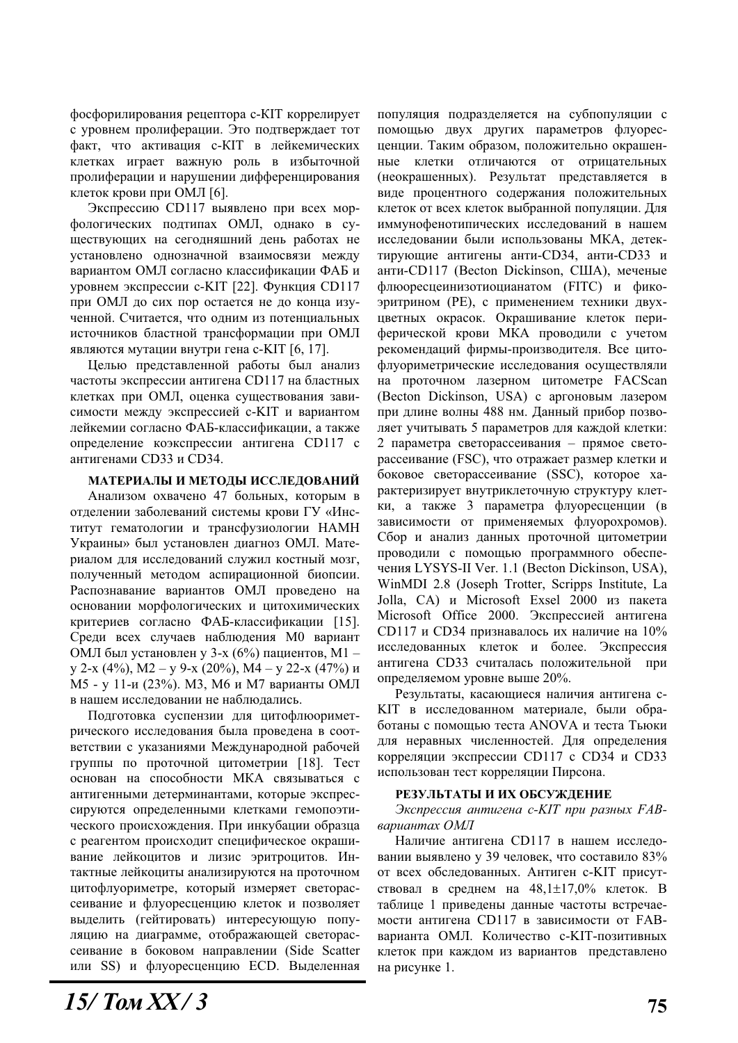фосфорилирования рецептора с-КІТ коррелирует с уровнем пролиферации. Это подтверждает тот факт, что активация с-КІТ в лейкемических клетках играет важную роль в избыточной пролиферации и нарушении дифференцирования клеток крови при ОМЛ [6].

Экспрессию CD117 выявлено при всех морфологических подтипах ОМЛ, однако в существующих на сегодняшний день работах не установлено однозначной взаимосвязи между вариантом ОМЛ согласно классификации ФАБ и уровнем экспрессии с-КІТ [22]. Функция CD117 при ОМЛ до сих пор остается не до конца изученной. Считается, что одним из потенциальных источников бластной трансформации при ОМЛ являются мутации внутри гена с-КІТ [6, 17].

Целью представленной работы был анализ частоты экспрессии антигена CD117 на бластных клетках при ОМЛ, оценка существования зависимости между экспрессией с-KIT и вариантом лейкемии согласно ФАБ-классификации, а также определение коэкспрессии антигена CD117 с антигенами СD33 и СD34.

#### МАТЕРИАЛЫ И МЕТОДЫ ИССЛЕДОВАНИЙ

Анализом охвачено 47 больных, которым в отделении заболеваний системы крови ГУ «Институт гематологии и трансфузиологии НАМН Украины» был установлен диагноз ОМЛ. Материалом для исследований служил костный мозг, полученный методом аспирационной биопсии. Распознавание вариантов ОМЛ проведено на основании морфологических и цитохимических критериев согласно ФАБ-классификации [15]. Среди всех случаев наблюдения М0 вариант ОМЛ был установлен у 3-х (6%) пациентов, М1 – у 2-х (4%), М2 – у 9-х (20%), М4 – у 22-х (47%) и М5 - у 11-и (23%). М3, М6 и М7 варианты ОМЛ в нашем исследовании не наблюдались.

Подготовка суспензии для цитофлюориметрического исследования была проведена в соответствии с указаниями Международной рабочей группы по проточной цитометрии [18]. Тест основан на способности МКА связываться с антигенными детерминантами, которые экспрессируются определенными клетками гемопоэтического происхождения. При инкубации образца с реагентом происходит специфическое окрашивание лейкоцитов и лизис эритроцитов. Интактные лейкоциты анализируются на проточном цитофлуориметре, который измеряет светорассеивание и флуоресценцию клеток и позволяет выделить (гейтировать) интересующую популяцию на диаграмме, отображающей светорассеивание в боковом направлении (Side Scatter или SS) и флуоресценцию ECD. Выделенная популяция подразделяется на субпопуляции с помощью двух других параметров флуоресценции. Таким образом, положительно окрашенные клетки отличаются от отрицательных (неокрашенных). Результат представляется в виде процентного содержания положительных клеток от всех клеток выбранной популяции. Для иммунофенотипических исследований в нашем исследовании были использованы МКА, детектирующие антигены анти-CD34, анти-CD33 и анти-CD117 (Becton Dickinson, США), меченые флюоресцеинизотиоцианатом (FITC) и фикоэритрином (РЕ), с применением техники двухцветных окрасок. Окрашивание клеток периферической крови МКА проводили с учетом рекомендаций фирмы-производителя. Все цитофлуориметрические исслелования осушествляли на проточном лазерном цитометре FACScan (Becton Dickinson, USA) с аргоновым лазером при длине волны 488 нм. Данный прибор позволяет учитывать 5 параметров для каждой клетки:  $2$  параметра светорассеивания – прямое светорассеивание (FSC), что отражает размер клетки и боковое светорассеивание (SSC), которое характеризирует внутриклеточную структуру клетки, а также 3 параметра флуоресценции (в зависимости от применяемых флуорохромов). Сбор и анализ данных проточной цитометрии проводили с помощью программного обеспечения LYSYS-II Ver. 1.1 (Becton Dickinson, USA), WinMDI 2.8 (Joseph Trotter, Scripps Institute, La Jolla, CA) и Microsoft Exsel 2000 из пакета Microsoft Office 2000. Экспрессией антигена CD117 и CD34 признавалось их наличие на  $10\%$ исследованных клеток и более. Экспрессия антигена CD33 считалась положительной при определяемом уровне выше 20%.

Результаты, касающиеся наличия антигена с-KIT в исследованном материале, были обработаны с помощью теста ANOVA и теста Тьюки для неравных численностей. Для определения корреляции экспрессии CD117 с CD34 и CD33 использован тест корреляции Пирсона.

#### РЕЗУЛЬТАТЫ И ИХ ОБСУЖДЕНИЕ

Экспрессия антигена с-КІТ при разных FABвариантах ОМЛ

Наличие антигена CD117 в нашем исследовании выявлено у 39 человек, что составило 83% от всех обследованных. Антиген с-КІТ присутствовал в среднем на  $48,1\pm17,0\%$  клеток. В таблице 1 приведены данные частоты встречаемости антигена CD117 в зависимости от FABварианта ОМЛ. Количество с-КIT-позитивных клеток при каждом из вариантов представлено на рисунке 1.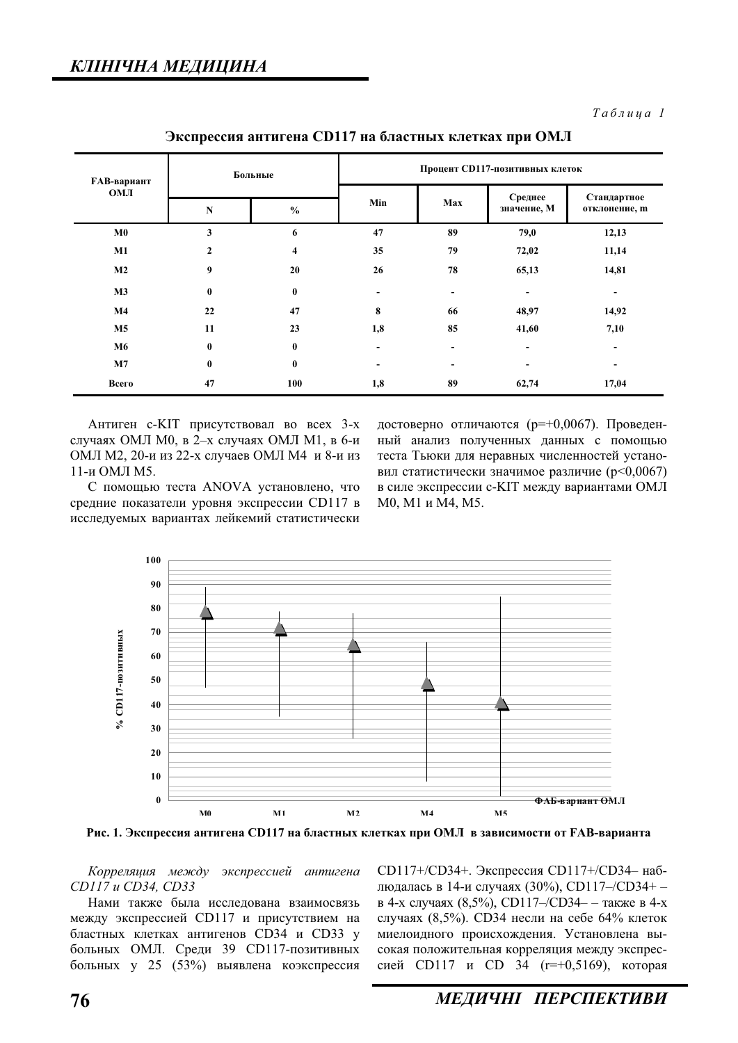$Ta6$ лица 1

| <b>FAB-вариант</b><br><b>OMJI</b> | Больные          |               | Процент СD117-позитивных клеток |     |                              |                              |
|-----------------------------------|------------------|---------------|---------------------------------|-----|------------------------------|------------------------------|
|                                   | ${\bf N}$        | $\frac{6}{6}$ | Min                             | Max | Среднее<br>значение, М       | Стандартное<br>отклонение, т |
| M <sub>0</sub>                    | 3                | 6             | 47                              | 89  | 79,0                         | 12,13                        |
| M1                                | $\mathbf{2}$     | 4             | 35                              | 79  | 72,02                        | 11,14                        |
| M2                                | $\boldsymbol{9}$ | 20            | 26                              | 78  | 65,13                        | 14,81                        |
| M3                                | $\bf{0}$         | $\bf{0}$      | $\overline{\phantom{a}}$        | -   | $\qquad \qquad \blacksquare$ | $\overline{\phantom{a}}$     |
| $\mathbf{M}4$                     | 22               | 47            | 8                               | 66  | 48,97                        | 14,92                        |
| M <sub>5</sub>                    | 11               | 23            | 1,8                             | 85  | 41,60                        | 7,10                         |
| M6                                | $\mathbf{0}$     | $\bf{0}$      | $\overline{\phantom{a}}$        |     | ۰                            | $\overline{\phantom{a}}$     |
| M7                                | $\bf{0}$         | $\bf{0}$      | $\overline{\phantom{0}}$        |     | $\overline{\phantom{a}}$     | ۰                            |
| Всего                             | 47               | 100           | 1,8                             | 89  | 62,74                        | 17,04                        |

Экспрессия антигена CD117 на бластных клетках при ОМЛ

Антиген с-КІТ присутствовал во всех 3-х случаях ОМЛ М0, в 2-х случаях ОМЛ М1, в 6-и ОМЛ М2, 20-и из 22-х случаев ОМЛ М4 и 8-и из 11-и ОМЛ М5.

достоверно отличаются (р=+0,0067). Проведенный анализ полученных данных с помощью теста Тьюки лля неравных численностей установил статистически значимое различие (p<0,0067) в силе экспрессии с-KIT между вариантами ОМЛ М0, М1 и М4, М5.

С помощью теста ANOVA установлено, что средние показатели уровня экспрессии CD117 в исследуемых вариантах лейкемий статистически

> **100 90 80 70 CD117-позитивных** % CD117-позитивных **60 50 40**  $\overline{\mathcal{S}}$ **30 20 10 0**  $\overline{\Phi}$ АБ-вариант ОМЛ **M0 M1 M2 M4 M5**

Рис. 1. Экспрессия антигена CD117 на бластных клетках при ОМЛ в зависимости от FAB-варианта

Корреляция между экспрессией антигена *CD117 ɢ CD34, CD33* 

Нами также была исслелована взаимосвязь между экспрессией СD117 и присутствием на бластных клетках антигенов CD34 и CD33 у больных ОМЛ. Среди 39 CD117-позитивных больных у 25 (53%) выявлена коэкспрессия

CD117+/CD34+. Экспрессия CD117+/CD34- наблюдалась в 14-и случаях (30%), CD117–/CD34+ – в 4-х случаях (8,5%), CD117–/CD34– – также в 4-х случаях (8,5%). CD34 несли на себе 64% клеток миелоидного происхождения. Установлена высокая положительная корреляция между экспрессией CD117 и CD 34 (r=+0,5169), которая

76 *МЕДИЧНІ ПЕРСПЕКТИВИ*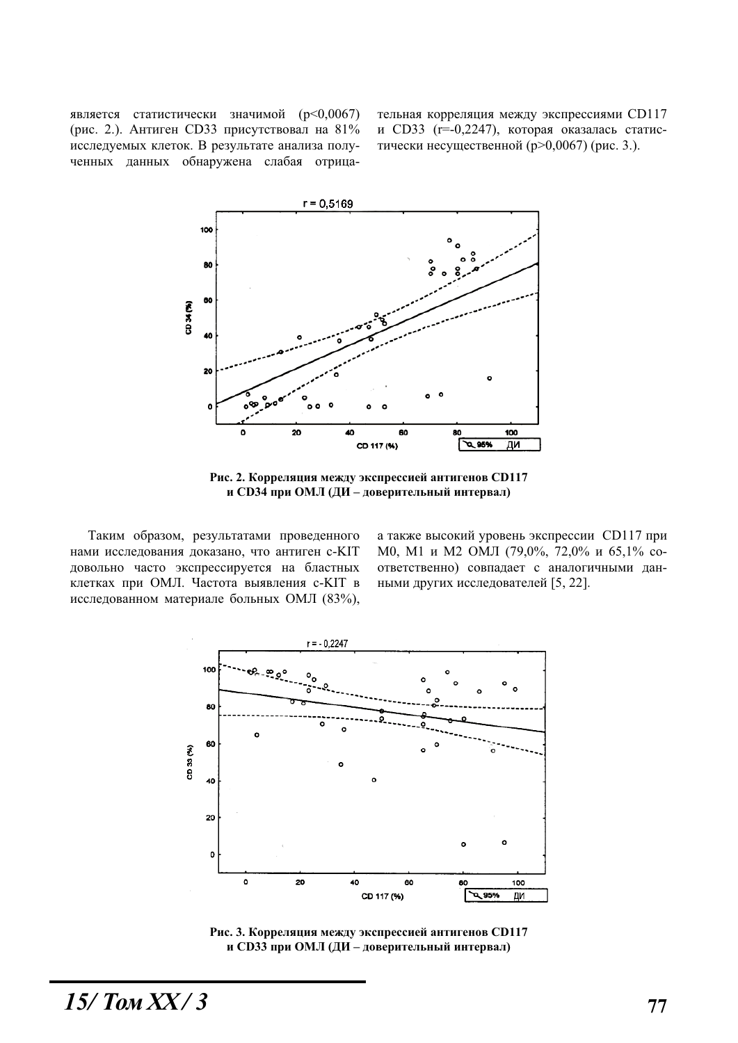является статистически значимой (p<0,0067) (рис. 2.). Антиген СD33 присутствовал на  $81\%$ исследуемых клеток. В результате анализа полученных данных обнаружена слабая отрицательная корреляция между экспрессиями CD117 и CD33 ( $r=0,2247$ ), которая оказалась статистически несущественной ( $p > 0.0067$ ) (рис. 3.).



Рис. 2. Корреляция между экспрессией антигенов CD117 **и СD34 при ОМЛ** (ДИ – доверительный интервал)

Таким образом, результатами проведенного нами исследования доказано, что антиген с-KIT довольно часто экспрессируется на бластных клетках при ОМЛ. Частота выявления с-KIT в исследованном материале больных ОМЛ (83%), а также высокий уровень экспрессии CD117 при М0, М1 и М2 ОМЛ (79,0%, 72,0% и 65,1% соответственно) совпадает с аналогичными данными других исследователей [5, 22].



Рис. 3. Корреляция между экспрессией антигенов CD117 **и СD33 при ОМЛ** (ДИ – доверительный интервал)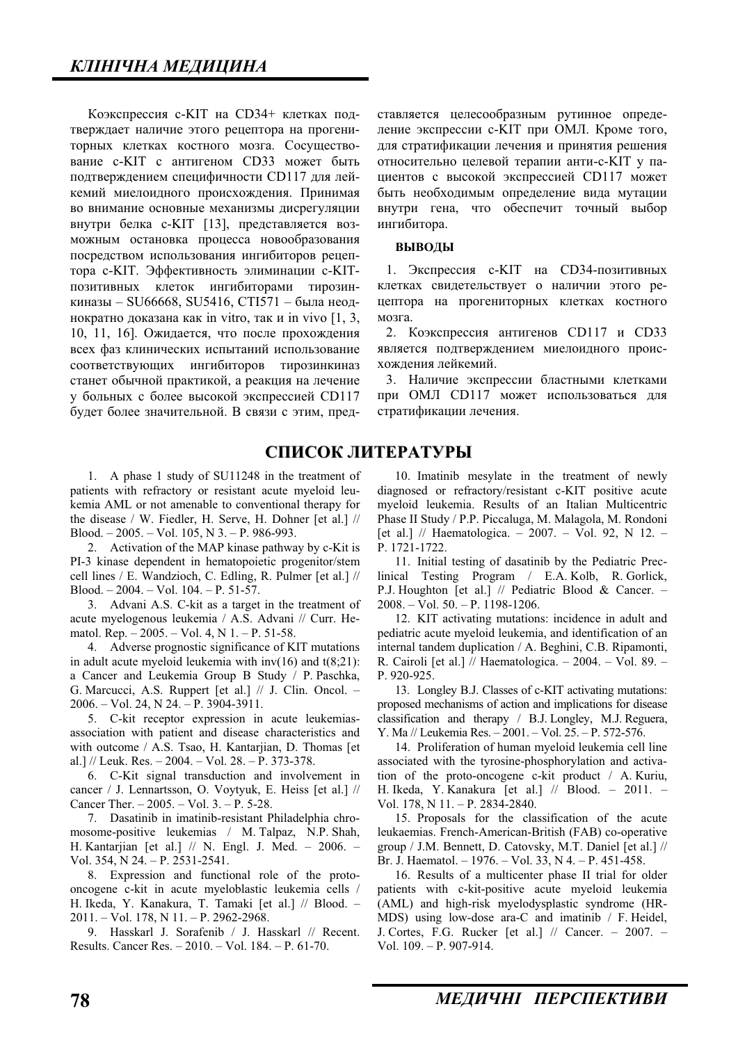Коэкспрессия с-КІТ на CD34+ клетках подтверждает наличие этого рецептора на прогениторных клетках костного мозга. Сосушествование с-КІТ с антигеном CD33 может быть подтверждением специфичности CD117 для лейкемий миелоидного происхождения. Принимая во внимание основные механизмы дисрегуляции внутри белка с-КІТ [13], представляется возможным остановка процесса новообразования посредством использования ингибиторов рецептора с-КІТ. Эффективность элиминации с-КІТпозитивных клеток ингибиторами тирозинкиназы – SU66668, SU5416, СТІ571 – была неоднократно доказана как in vitro, так и in vivo  $[1, 3, 3]$ 10, 11, 16]. Ожидается, что после прохождения всех фаз клинических испытаний использование соответствующих ингибиторов тирозинкиназ станет обычной практикой, а реакция на лечение у больных с более высокой экспрессией CD117 будет более значительной. В связи с этим, пред-

1. A phase 1 study of SU11248 in the treatment of patients with refractory or resistant acute myeloid leukemia AML or not amenable to conventional therapy for the disease / W. Fiedler, H. Serve, H. Dohner [et al.] // Blood.  $-2005. - Vol.$  105, N 3.  $- P.$  986-993.

2. Activation of the MAP kinase pathway by c-Kit is PI-3 kinase dependent in hematopoietic progenitor/stem cell lines / E. Wandzioch, C. Edling, R. Pulmer [et al.] // Blood. – 2004. – Vol. 104. – P. 51-57.

3. Advani A.S. C-kit as a target in the treatment of acute myelogenous leukemia / A.S. Advani // Curr. Hematol. Rep.  $-2005. - Vol. 4$ , N  $1. - P. 51-58.$ 

4. Adverse prognostic significance of KIT mutations in adult acute myeloid leukemia with  $inv(16)$  and  $t(8;21)$ : a Cancer and Leukemia Group B Study / P. Paschka, G. Marcucci, A.S. Ruppert [et al.] // J. Clin. Oncol. – 2006. – Vol. 24, N 24. – P. 3904-3911.

5. C-kit receptor expression in acute leukemiasassociation with patient and disease characteristics and with outcome / A.S. Tsao, H. Kantarjian, D. Thomas [et al.] // Leuk. Res.  $- 2004$ .  $- Vol. 28$ .  $- P. 373-378$ .

6. C-Kit signal transduction and involvement in cancer / J. Lennartsson, O. Voytyuk, E. Heiss [et al.] // Cancer Ther. – 2005. – Vol. 3. – P. 5-28.

7. Dasatinib in imatinib-resistant Philadelphia chromosome-positive leukemias / M. Talpaz, N.P. Shah, H. Kantarjian [et al.] // N. Engl. J. Med. – 2006. – Vol. 354, N 24. – P. 2531-2541.

8. Expression and functional role of the protooncogene c-kit in acute myeloblastic leukemia cells / H. Ikeda, Y. Kanakura, T. Tamaki [et al.] // Blood. – 2011. – Vol. 178, N 11. – P. 2962-2968.

9. Hasskarl J. Sorafenib / J. Hasskarl // Recent. Results. Cancer Res. – 2010. – Vol. 184. – P. 61-70.

ставляется целесообразным рутинное определение экспрессии с-KIT при ОМЛ. Кроме того, для стратификации лечения и принятия решения относительно целевой терапии анти-с-КІТ у пациентов с высокой экспрессией CD117 может быть необходимым определение вида мутации внутри гена, что обеспечит точный выбор ингибитора.

#### **ВЫВОДЫ**

1. Экспрессия с-КІТ на СD34-позитивных клетках свидетельствует о наличии этого рецептора на прогениторных клетках костного мозга.

2. Коэкспрессия антигенов CD117 и CD33 является подтверждением миелоидного происхожления лейкемий.

3. Наличие экспрессии бластными клетками при ОМЛ CD117 может использоваться для стратификации лечения.

## СПИСОК ЛИТЕРАТУРЫ

10. Imatinib mesylate in the treatment of newly diagnosed or refractory/resistant c-KIT positive acute myeloid leukemia. Results of an Italian Multicentric Phase II Study / P.P. Piccaluga, M. Malagola, M. Rondoni [et al.] // Haematologica. – 2007. – Vol. 92, N 12. – P. 1721-1722.

11. Initial testing of dasatinib by the Pediatric Preclinical Testing Program / E.A. Kolb, R. Gorlick, P.J. Houghton [et al.] // Pediatric Blood & Cancer. – 2008. – Vol. 50. – P. 1198-1206.

12. KIT activating mutations: incidence in adult and pediatric acute myeloid leukemia, and identification of an internal tandem duplication / A. Beghini, C.B. Ripamonti, R. Cairoli [et al.] // Haematologica. – 2004. – Vol. 89. – P. 920-925.

13. Longley B.J. Classes of c-KIT activating mutations: proposed mechanisms of action and implications for disease classification and therapy / B.J. Longley, M.J. Reguera, Y. Ma // Leukemia Res. – 2001. – Vol. 25. – P. 572-576.

14. Proliferation of human myeloid leukemia cell line associated with the tyrosine-phosphorylation and activation of the proto-oncogene c-kit product / A. Kuriu, H. Ikeda, Y. Kanakura [et al.] // Blood. – 2011. – Vol. 178, N 11. – P. 2834-2840.

15. Proposals for the classification of the acute leukaemias. French-American-British (FAB) co-operative group / J.M. Bennett, D. Catovsky, M.T. Daniel [et al.] // Br. J. Haematol. – 1976. – Vol. 33, N 4. – P. 451-458.

16. Results of a multicenter phase II trial for older patients with c-kit-positive acute myeloid leukemia (AML) and high-risk myelodysplastic syndrome (HR-MDS) using low-dose ara-C and imatinib / F. Heidel, J. Cortes, F.G. Rucker [et al.] // Cancer. – 2007. – Vol. 109. – P. 907-914.